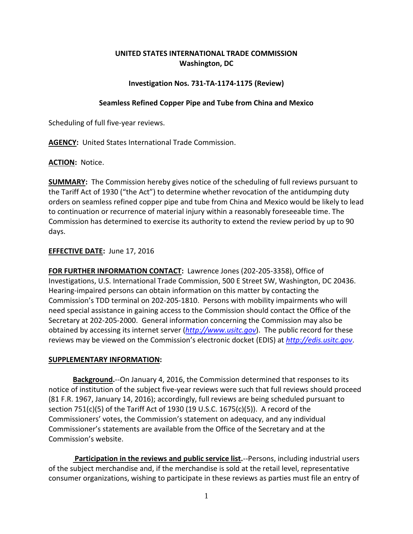# **UNITED STATES INTERNATIONAL TRADE COMMISSION Washington, DC**

## **Investigation Nos. 731-TA-1174-1175 (Review)**

#### **Seamless Refined Copper Pipe and Tube from China and Mexico**

Scheduling of full five-year reviews.

**AGENCY:** United States International Trade Commission.

## **ACTION:** Notice.

**SUMMARY:** The Commission hereby gives notice of the scheduling of full reviews pursuant to the Tariff Act of 1930 ("the Act") to determine whether revocation of the antidumping duty orders on seamless refined copper pipe and tube from China and Mexico would be likely to lead to continuation or recurrence of material injury within a reasonably foreseeable time. The Commission has determined to exercise its authority to extend the review period by up to 90 days.

## **EFFECTIVE DATE:** June 17, 2016

**FOR FURTHER INFORMATION CONTACT:** Lawrence Jones (202-205-3358), Office of Investigations, U.S. International Trade Commission, 500 E Street SW, Washington, DC 20436. Hearing-impaired persons can obtain information on this matter by contacting the Commission's TDD terminal on 202-205-1810. Persons with mobility impairments who will need special assistance in gaining access to the Commission should contact the Office of the Secretary at 202-205-2000. General information concerning the Commission may also be obtained by accessing its internet server (*[http://www.usitc.gov](http://www.usitc.gov/)*). The public record for these reviews may be viewed on the Commission's electronic docket (EDIS) at *[http://edis.usitc.gov](http://edis.usitc.gov/)*.

#### **SUPPLEMENTARY INFORMATION:**

**Background.**--On January 4, 2016, the Commission determined that responses to its notice of institution of the subject five-year reviews were such that full reviews should proceed (81 F.R. 1967, January 14, 2016); accordingly, full reviews are being scheduled pursuant to section 751(c)(5) of the Tariff Act of 1930 (19 U.S.C. 1675(c)(5)). A record of the Commissioners' votes, the Commission's statement on adequacy, and any individual Commissioner's statements are available from the Office of the Secretary and at the Commission's website.

**Participation in the reviews and public service list.**--Persons, including industrial users of the subject merchandise and, if the merchandise is sold at the retail level, representative consumer organizations, wishing to participate in these reviews as parties must file an entry of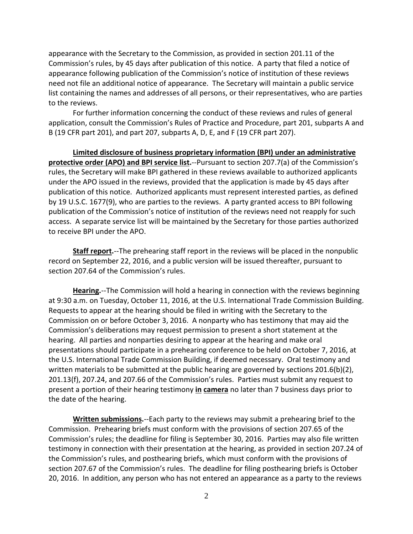appearance with the Secretary to the Commission, as provided in section 201.11 of the Commission's rules, by 45 days after publication of this notice. A party that filed a notice of appearance following publication of the Commission's notice of institution of these reviews need not file an additional notice of appearance. The Secretary will maintain a public service list containing the names and addresses of all persons, or their representatives, who are parties to the reviews.

For further information concerning the conduct of these reviews and rules of general application, consult the Commission's Rules of Practice and Procedure, part 201, subparts A and B (19 CFR part 201), and part 207, subparts A, D, E, and F (19 CFR part 207).

**Limited disclosure of business proprietary information (BPI) under an administrative protective order (APO) and BPI service list.**--Pursuant to section 207.7(a) of the Commission's rules, the Secretary will make BPI gathered in these reviews available to authorized applicants under the APO issued in the reviews, provided that the application is made by 45 days after publication of this notice. Authorized applicants must represent interested parties, as defined by 19 U.S.C. 1677(9), who are parties to the reviews. A party granted access to BPI following publication of the Commission's notice of institution of the reviews need not reapply for such access. A separate service list will be maintained by the Secretary for those parties authorized to receive BPI under the APO.

**Staff report.**--The prehearing staff report in the reviews will be placed in the nonpublic record on September 22, 2016, and a public version will be issued thereafter, pursuant to section 207.64 of the Commission's rules.

**Hearing.**--The Commission will hold a hearing in connection with the reviews beginning at 9:30 a.m. on Tuesday, October 11, 2016, at the U.S. International Trade Commission Building. Requests to appear at the hearing should be filed in writing with the Secretary to the Commission on or before October 3, 2016. A nonparty who has testimony that may aid the Commission's deliberations may request permission to present a short statement at the hearing. All parties and nonparties desiring to appear at the hearing and make oral presentations should participate in a prehearing conference to be held on October 7, 2016, at the U.S. International Trade Commission Building, if deemed necessary. Oral testimony and written materials to be submitted at the public hearing are governed by sections  $201.6(b)(2)$ , 201.13(f), 207.24, and 207.66 of the Commission's rules. Parties must submit any request to present a portion of their hearing testimony **in camera** no later than 7 business days prior to the date of the hearing.

**Written submissions.**--Each party to the reviews may submit a prehearing brief to the Commission. Prehearing briefs must conform with the provisions of section 207.65 of the Commission's rules; the deadline for filing is September 30, 2016. Parties may also file written testimony in connection with their presentation at the hearing, as provided in section 207.24 of the Commission's rules, and posthearing briefs, which must conform with the provisions of section 207.67 of the Commission's rules. The deadline for filing posthearing briefs is October 20, 2016. In addition, any person who has not entered an appearance as a party to the reviews